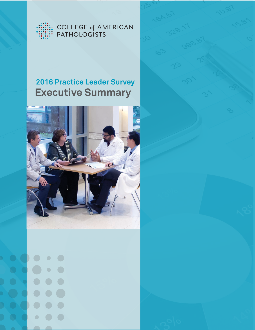

COLLEGE of AMERICAN<br>PATHOLOGISTS

# **Executive Summary 2016 Practice Leader Survey**



 $\begin{array}{c} \bullet \\ \bullet \end{array}$  $\Box$  $\begin{array}{c} \bullet \\ \bullet \end{array}$  $\bullet$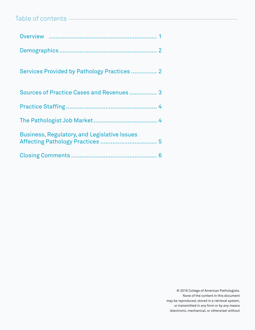## Table of contents

| Sources of Practice Cases and Revenues 3            |
|-----------------------------------------------------|
|                                                     |
|                                                     |
| <b>Business, Regulatory, and Legislative Issues</b> |
|                                                     |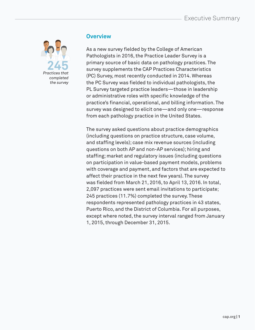## Executive Summary



#### **Overview**

As a new survey fielded by the College of American Pathologists in 2016, the Practice Leader Survey is a primary source of basic data on pathology practices. The survey supplements the CAP Practices Characteristics (PC) Survey, most recently conducted in 2014. Whereas the PC Survey was fielded to individual pathologists, the PL Survey targeted practice leaders—those in leadership or administrative roles with specific knowledge of the practice's financial, operational, and billing information. The survey was designed to elicit one—and only one—response from each pathology practice in the United States.

The survey asked questions about practice demographics (including questions on practice structure, case volume, and staffing levels); case mix revenue sources (including questions on both AP and non-AP services); hiring and staffing; market and regulatory issues (including questions on participation in value-based payment models, problems with coverage and payment, and factors that are expected to affect their practice in the next few years). The survey was fielded from March 21, 2016, to April 13, 2016. In total, 2,097 practices were sent email invitations to participate; 245 practices (11.7%) completed the survey. These respondents represented pathology practices in 43 states, Puerto Rico, and the District of Columbia. For all purposes, except where noted, the survey interval ranged from January 1, 2015, through December 31, 2015.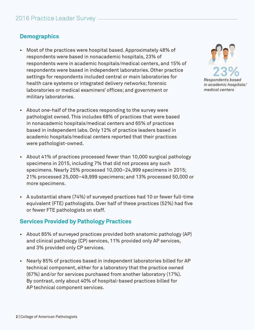## **Demographics**

- Most of the practices were hospital based. Approximately 48% of respondents were based in nonacademic hospitals, 23% of respondents were in academic hospitals/medical centers, and 15% of respondents were based in independent laboratories. Other practice settings for respondents included central or main laboratories for health care systems or integrated delivery networks; forensic laboratories or medical examiners' offices; and government or military laboratories.
- About one-half of the practices responding to the survey were pathologist owned. This includes 68% of practices that were based in nonacademic hospitals/medical centers and 65% of practices based in independent labs. Only 12% of practice leaders based in academic hospitals/medical centers reported that their practices were pathologist-owned.
- About 41% of practices processed fewer than 10,000 surgical pathology specimens in 2015, including 7% that did not process any such specimens. Nearly 25% processed 10,000–24,999 specimens in 2015; 21% processed 25,000–49,999 specimens; and 13% processed 50,000 or more specimens.
- A substantial share (74%) of surveyed practices had 10 or fewer full-time equivalent (FTE) pathologists. Over half of these practices (52%) had five or fewer FTE pathologists on staff.

#### **Services Provided by Pathology Practices**

- About 85% of surveyed practices provided both anatomic pathology (AP) and clinical pathology (CP) services, 11% provided only AP services, and 3% provided only CP services.
- Nearly 85% of practices based in independent laboratories billed for AP technical component, either for a laboratory that the practice owned (67%) and/or for services purchased from another laboratory (17%). By contrast, only about 40% of hospital-based practices billed for AP technical component services.

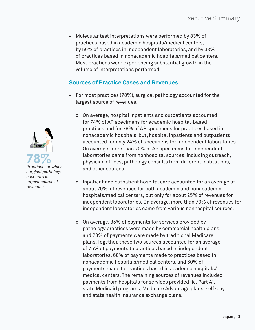• Molecular test interpretations were performed by 83% of practices based in academic hospitals/medical centers, by 50% of practices in independent laboratories, and by 33% of practices based in nonacademic hospitals/medical centers. Most practices were experiencing substantial growth in the volume of interpretations performed.

#### **Sources of Practice Cases and Revenues**

- For most practices (78%), surgical pathology accounted for the largest source of revenues.
	- o On average, hospital inpatients and outpatients accounted for 74% of AP specimens for academic hospital-based practices and for 79% of AP specimens for practices based in nonacademic hospitals; but, hospital inpatients and outpatients accounted for only 24% of specimens for independent laboratories. On average, more than 70% of AP specimens for independent laboratories came from nonhospital sources, including outreach, physician offices, pathology consults from different institutions, and other sources.
	- o Inpatient and outpatient hospital care accounted for an average of about 70% of revenues for both academic and nonacademic hospitals/medical centers, but only for about 25% of revenues for independent laboratories. On average, more than 70% of revenues for independent laboratories came from various nonhospital sources.
	- o On average, 35% of payments for services provided by pathology practices were made by commercial health plans, and 23% of payments were made by traditional Medicare plans. Together, these two sources accounted for an average of 75% of payments to practices based in independent laboratories, 68% of payments made to practices based in nonacademic hospitals/medical centers, and 60% of payments made to practices based in academic hospitals/ medical centers. The remaining sources of revenues included payments from hospitals for services provided (ie, Part A), state Medicaid programs, Medicare Advantage plans, self-pay, and state health insurance exchange plans.

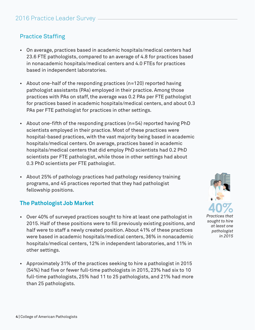## Practice Staffing

- On average, practices based in academic hospitals/medical centers had 23.6 FTE pathologists, compared to an average of 4.8 for practices based in nonacademic hospitals/medical centers and 4.0 FTEs for practices based in independent laboratories.
- About one-half of the responding practices (n=120) reported having pathologist assistants (PAs) employed in their practice. Among those practices with PAs on staff, the average was 0.2 PAs per FTE pathologist for practices based in academic hospitals/medical centers, and about 0.3 PAs per FTE pathologist for practices in other settings.
- About one-fifth of the responding practices (n=54) reported having PhD scientists employed in their practice. Most of these practices were hospital-based practices, with the vast majority being based in academic hospitals/medical centers. On average, practices based in academic hospitals/medical centers that did employ PhD scientists had 0.2 PhD scientists per FTE pathologist, while those in other settings had about 0.3 PhD scientists per FTE pathologist.
- About 25% of pathology practices had pathology residency training programs, and 45 practices reported that they had pathologist fellowship positions.

#### **The Pathologist Job Market**

- Over 40% of surveyed practices sought to hire at least one pathologist in 2015. Half of these positions were to fill previously existing positions, and half were to staff a newly created position. About 41% of these practices were based in academic hospitals/medical centers, 36% in nonacademic hospitals/medical centers, 12% in independent laboratories, and 11% in other settings.
- Approximately 31% of the practices seeking to hire a pathologist in 2015 (54%) had five or fewer full-time pathologists in 2015, 23% had six to 10 full-time pathologists, 25% had 11 to 25 pathologists, and 21% had more than 25 pathologists.

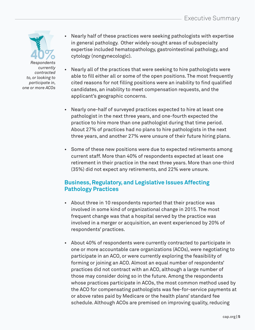

- Nearly half of these practices were seeking pathologists with expertise in general pathology. Other widely-sought areas of subspecialty expertise included hematopathology, gastrointestinal pathology, and cytology (nongynecologic).
- Nearly all of the practices that were seeking to hire pathologists were able to fill either all or some of the open positions. The most frequently cited reasons for not filling positions were an inability to find qualified candidates, an inability to meet compensation requests, and the applicant's geographic concerns.
- Nearly one-half of surveyed practices expected to hire at least one pathologist in the next three years, and one-fourth expected the practice to hire more than one pathologist during that time period. About 27% of practices had no plans to hire pathologists in the next three years, and another 27% were unsure of their future hiring plans.
- Some of these new positions were due to expected retirements among current staff. More than 40% of respondents expected at least one retirement in their practice in the next three years. More than one-third (35%) did not expect any retirements, and 22% were unsure.

## **Business, Regulatory, and Legislative Issues Affecting Pathology Practices**

- About three in 10 respondents reported that their practice was involved in some kind of organizational change in 2015. The most frequent change was that a hospital served by the practice was involved in a merger or acquisition, an event experienced by 20% of respondents' practices.
- About 40% of respondents were currently contracted to participate in one or more accountable care organizations (ACOs), were negotiating to participate in an ACO, or were currently exploring the feasibility of forming or joining an ACO. Almost an equal number of respondents' practices did not contract with an ACO, although a large number of those may consider doing so in the future. Among the respondents whose practices participate in ACOs, the most common method used by the ACO for compensating pathologists was fee-for-service payments at or above rates paid by Medicare or the health plans' standard fee schedule. Although ACOs are premised on improving quality, reducing